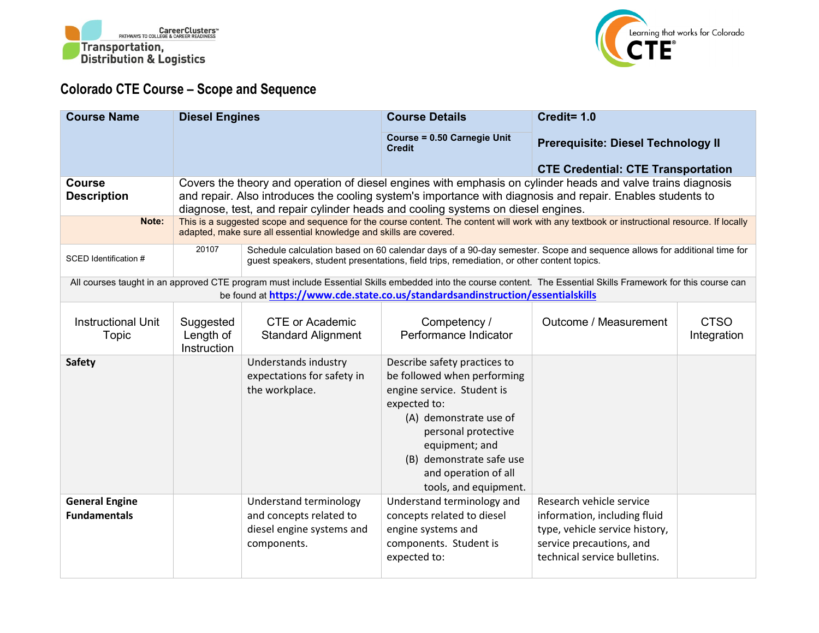



## **Colorado CTE Course – Scope and Sequence**

| <b>Course Name</b>                           | <b>Diesel Engines</b>                 |                                                                                               | <b>Course Details</b>                                                                                                                                                                                                                                                                                          | Credit= 1.0                                                                                                                                            |                            |
|----------------------------------------------|---------------------------------------|-----------------------------------------------------------------------------------------------|----------------------------------------------------------------------------------------------------------------------------------------------------------------------------------------------------------------------------------------------------------------------------------------------------------------|--------------------------------------------------------------------------------------------------------------------------------------------------------|----------------------------|
|                                              |                                       |                                                                                               | Course = 0.50 Carnegie Unit<br><b>Credit</b>                                                                                                                                                                                                                                                                   | <b>Prerequisite: Diesel Technology II</b>                                                                                                              |                            |
|                                              |                                       |                                                                                               |                                                                                                                                                                                                                                                                                                                | <b>CTE Credential: CTE Transportation</b>                                                                                                              |                            |
| <b>Course</b><br><b>Description</b>          |                                       |                                                                                               | Covers the theory and operation of diesel engines with emphasis on cylinder heads and valve trains diagnosis<br>and repair. Also introduces the cooling system's importance with diagnosis and repair. Enables students to<br>diagnose, test, and repair cylinder heads and cooling systems on diesel engines. |                                                                                                                                                        |                            |
| Note:                                        |                                       | adapted, make sure all essential knowledge and skills are covered.                            | This is a suggested scope and sequence for the course content. The content will work with any textbook or instructional resource. If locally                                                                                                                                                                   |                                                                                                                                                        |                            |
| SCED Identification #                        | 20107                                 |                                                                                               | Schedule calculation based on 60 calendar days of a 90-day semester. Scope and sequence allows for additional time for<br>guest speakers, student presentations, field trips, remediation, or other content topics.                                                                                            |                                                                                                                                                        |                            |
|                                              |                                       |                                                                                               | All courses taught in an approved CTE program must include Essential Skills embedded into the course content. The Essential Skills Framework for this course can<br>be found at https://www.cde.state.co.us/standardsandinstruction/essentialskills                                                            |                                                                                                                                                        |                            |
| <b>Instructional Unit</b><br><b>Topic</b>    | Suggested<br>Length of<br>Instruction | <b>CTE or Academic</b><br><b>Standard Alignment</b>                                           | Competency /<br>Performance Indicator                                                                                                                                                                                                                                                                          | Outcome / Measurement                                                                                                                                  | <b>CTSO</b><br>Integration |
| <b>Safety</b>                                |                                       | Understands industry<br>expectations for safety in<br>the workplace.                          | Describe safety practices to<br>be followed when performing<br>engine service. Student is<br>expected to:<br>(A) demonstrate use of<br>personal protective<br>equipment; and<br>(B) demonstrate safe use<br>and operation of all<br>tools, and equipment.                                                      |                                                                                                                                                        |                            |
| <b>General Engine</b><br><b>Fundamentals</b> |                                       | Understand terminology<br>and concepts related to<br>diesel engine systems and<br>components. | Understand terminology and<br>concepts related to diesel<br>engine systems and<br>components. Student is<br>expected to:                                                                                                                                                                                       | Research vehicle service<br>information, including fluid<br>type, vehicle service history,<br>service precautions, and<br>technical service bulletins. |                            |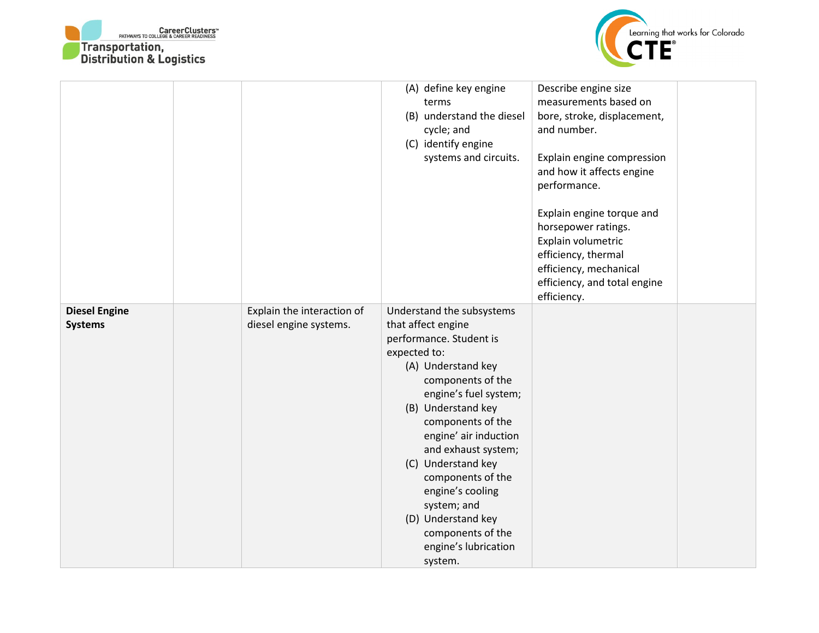



|                                        |                                                      | (A) define key engine<br>terms<br>(B) understand the diesel<br>cycle; and<br>(C) identify engine<br>systems and circuits.                                                                                                                                                                                                                                                                                             | Describe engine size<br>measurements based on<br>bore, stroke, displacement,<br>and number.<br>Explain engine compression<br>and how it affects engine<br>performance.<br>Explain engine torque and<br>horsepower ratings.<br>Explain volumetric<br>efficiency, thermal<br>efficiency, mechanical<br>efficiency, and total engine<br>efficiency. |  |
|----------------------------------------|------------------------------------------------------|-----------------------------------------------------------------------------------------------------------------------------------------------------------------------------------------------------------------------------------------------------------------------------------------------------------------------------------------------------------------------------------------------------------------------|--------------------------------------------------------------------------------------------------------------------------------------------------------------------------------------------------------------------------------------------------------------------------------------------------------------------------------------------------|--|
| <b>Diesel Engine</b><br><b>Systems</b> | Explain the interaction of<br>diesel engine systems. | Understand the subsystems<br>that affect engine<br>performance. Student is<br>expected to:<br>(A) Understand key<br>components of the<br>engine's fuel system;<br>(B) Understand key<br>components of the<br>engine' air induction<br>and exhaust system;<br>(C) Understand key<br>components of the<br>engine's cooling<br>system; and<br>(D) Understand key<br>components of the<br>engine's lubrication<br>system. |                                                                                                                                                                                                                                                                                                                                                  |  |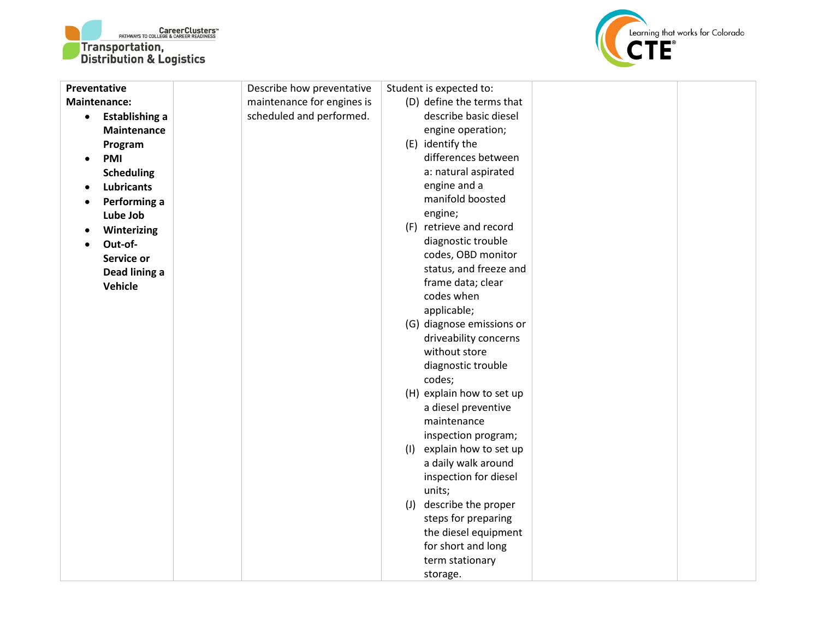



| Preventative |                       | Describe how preventative  |     | Student is expected to:                     |  |
|--------------|-----------------------|----------------------------|-----|---------------------------------------------|--|
|              | <b>Maintenance:</b>   | maintenance for engines is |     | (D) define the terms that                   |  |
| $\bullet$    | <b>Establishing a</b> | scheduled and performed.   |     | describe basic diesel                       |  |
|              | Maintenance           |                            |     | engine operation;                           |  |
|              | Program               |                            |     | (E) identify the                            |  |
| $\bullet$    | PMI                   |                            |     | differences between                         |  |
|              | <b>Scheduling</b>     |                            |     | a: natural aspirated                        |  |
|              | <b>Lubricants</b>     |                            |     | engine and a                                |  |
|              | Performing a          |                            |     | manifold boosted                            |  |
|              | Lube Job              |                            |     | engine;                                     |  |
|              | Winterizing           |                            |     | (F) retrieve and record                     |  |
|              | Out-of-               |                            |     | diagnostic trouble                          |  |
|              | Service or            |                            |     | codes, OBD monitor                          |  |
|              | Dead lining a         |                            |     | status, and freeze and                      |  |
|              | Vehicle               |                            |     | frame data; clear                           |  |
|              |                       |                            |     | codes when                                  |  |
|              |                       |                            |     | applicable;                                 |  |
|              |                       |                            |     | (G) diagnose emissions or                   |  |
|              |                       |                            |     | driveability concerns                       |  |
|              |                       |                            |     | without store                               |  |
|              |                       |                            |     | diagnostic trouble                          |  |
|              |                       |                            |     | codes;                                      |  |
|              |                       |                            |     | (H) explain how to set up                   |  |
|              |                       |                            |     | a diesel preventive                         |  |
|              |                       |                            |     | maintenance                                 |  |
|              |                       |                            |     | inspection program;                         |  |
|              |                       |                            | (1) | explain how to set up                       |  |
|              |                       |                            |     | a daily walk around                         |  |
|              |                       |                            |     | inspection for diesel                       |  |
|              |                       |                            |     | units;                                      |  |
|              |                       |                            |     | (J) describe the proper                     |  |
|              |                       |                            |     | steps for preparing<br>the diesel equipment |  |
|              |                       |                            |     | for short and long                          |  |
|              |                       |                            |     | term stationary                             |  |
|              |                       |                            |     |                                             |  |
|              |                       |                            |     | storage.                                    |  |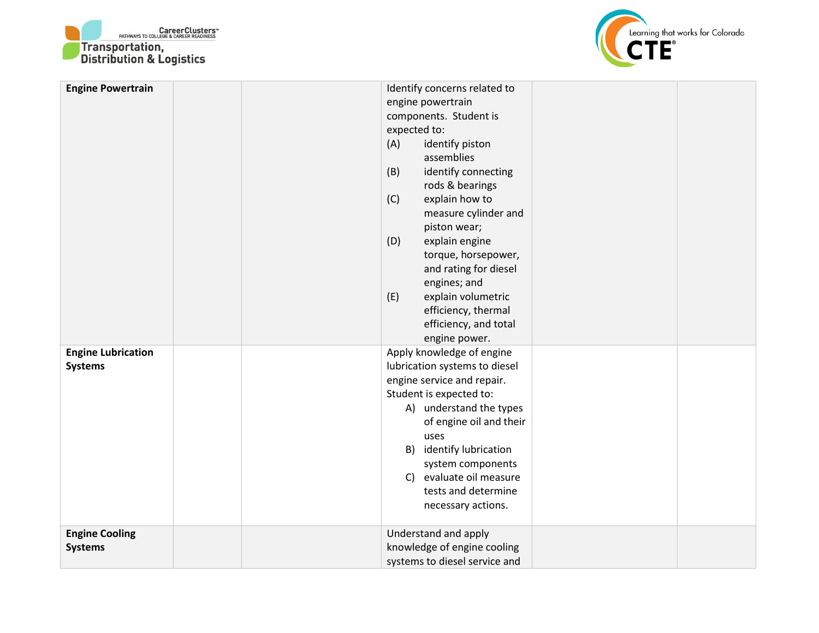



| <b>Engine Powertrain</b>                    | Identify concerns related to<br>engine powertrain<br>components. Student is<br>expected to:<br>(A)<br>identify piston<br>assemblies<br>(B)<br>identify connecting<br>rods & bearings<br>explain how to<br>(C)<br>measure cylinder and<br>piston wear;<br>explain engine<br>(D)<br>torque, horsepower,<br>and rating for diesel<br>engines; and<br>explain volumetric<br>(E)<br>efficiency, thermal<br>efficiency, and total<br>engine power. |  |
|---------------------------------------------|----------------------------------------------------------------------------------------------------------------------------------------------------------------------------------------------------------------------------------------------------------------------------------------------------------------------------------------------------------------------------------------------------------------------------------------------|--|
| <b>Engine Lubrication</b><br><b>Systems</b> | Apply knowledge of engine<br>lubrication systems to diesel<br>engine service and repair.<br>Student is expected to:<br>A) understand the types<br>of engine oil and their<br>uses<br>B) identify lubrication<br>system components<br>C) evaluate oil measure<br>tests and determine<br>necessary actions.                                                                                                                                    |  |
| <b>Engine Cooling</b><br><b>Systems</b>     | Understand and apply<br>knowledge of engine cooling<br>systems to diesel service and                                                                                                                                                                                                                                                                                                                                                         |  |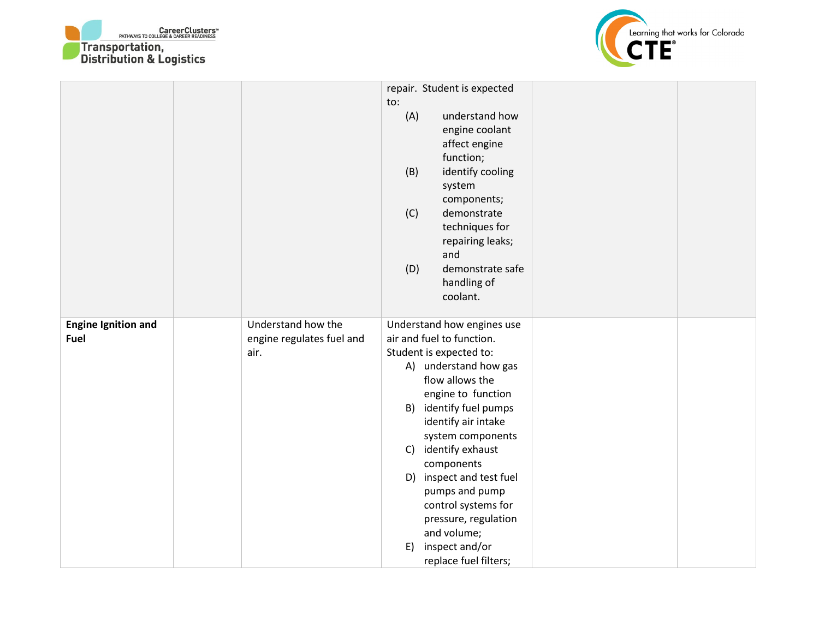



|                                    |                                                         | repair. Student is expected<br>to:<br>(A)<br>understand how<br>engine coolant<br>affect engine<br>function;<br>(B)<br>identify cooling<br>system<br>components;<br>(C)<br>demonstrate<br>techniques for<br>repairing leaks;<br>and<br>(D)<br>demonstrate safe<br>handling of<br>coolant.                                                                                                                                     |  |
|------------------------------------|---------------------------------------------------------|------------------------------------------------------------------------------------------------------------------------------------------------------------------------------------------------------------------------------------------------------------------------------------------------------------------------------------------------------------------------------------------------------------------------------|--|
| <b>Engine Ignition and</b><br>Fuel | Understand how the<br>engine regulates fuel and<br>air. | Understand how engines use<br>air and fuel to function.<br>Student is expected to:<br>A) understand how gas<br>flow allows the<br>engine to function<br>B) identify fuel pumps<br>identify air intake<br>system components<br>C) identify exhaust<br>components<br>D) inspect and test fuel<br>pumps and pump<br>control systems for<br>pressure, regulation<br>and volume;<br>inspect and/or<br>E)<br>replace fuel filters; |  |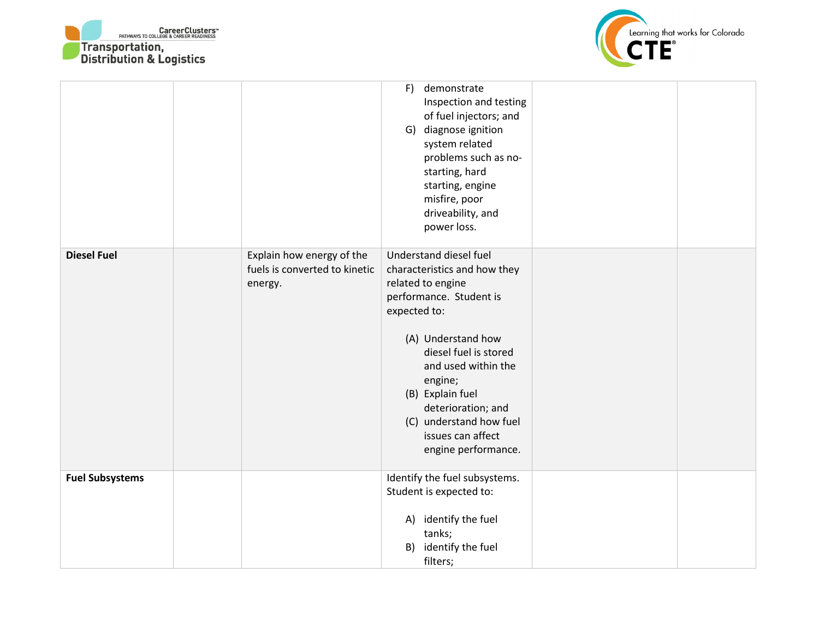



|                        |                                                                       | F)<br>demonstrate<br>Inspection and testing<br>of fuel injectors; and<br>G) diagnose ignition<br>system related<br>problems such as no-<br>starting, hard<br>starting, engine<br>misfire, poor<br>driveability, and<br>power loss.                                                                                       |  |
|------------------------|-----------------------------------------------------------------------|--------------------------------------------------------------------------------------------------------------------------------------------------------------------------------------------------------------------------------------------------------------------------------------------------------------------------|--|
| <b>Diesel Fuel</b>     | Explain how energy of the<br>fuels is converted to kinetic<br>energy. | Understand diesel fuel<br>characteristics and how they<br>related to engine<br>performance. Student is<br>expected to:<br>(A) Understand how<br>diesel fuel is stored<br>and used within the<br>engine;<br>(B) Explain fuel<br>deterioration; and<br>(C) understand how fuel<br>issues can affect<br>engine performance. |  |
| <b>Fuel Subsystems</b> |                                                                       | Identify the fuel subsystems.<br>Student is expected to:<br>A) identify the fuel<br>tanks;<br>B) identify the fuel<br>filters;                                                                                                                                                                                           |  |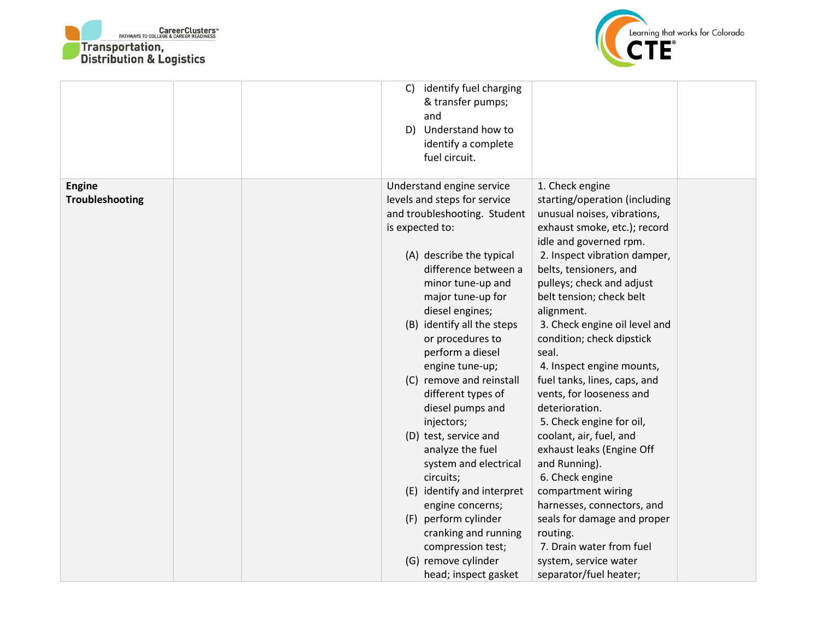



|                                         | identify fuel charging<br>C)<br>& transfer pumps;<br>and<br>D) Understand how to<br>identify a complete<br>fuel circuit.                                                                                                                                                                                                                                                                                                                                                                                                                                                                                                                                            |                                                                                                                                                                                                                                                                                                                                                                                                                                                                                                                                                                                                                                                                                                                                                                    |  |
|-----------------------------------------|---------------------------------------------------------------------------------------------------------------------------------------------------------------------------------------------------------------------------------------------------------------------------------------------------------------------------------------------------------------------------------------------------------------------------------------------------------------------------------------------------------------------------------------------------------------------------------------------------------------------------------------------------------------------|--------------------------------------------------------------------------------------------------------------------------------------------------------------------------------------------------------------------------------------------------------------------------------------------------------------------------------------------------------------------------------------------------------------------------------------------------------------------------------------------------------------------------------------------------------------------------------------------------------------------------------------------------------------------------------------------------------------------------------------------------------------------|--|
| <b>Engine</b><br><b>Troubleshooting</b> | Understand engine service<br>levels and steps for service<br>and troubleshooting. Student<br>is expected to:<br>(A) describe the typical<br>difference between a<br>minor tune-up and<br>major tune-up for<br>diesel engines;<br>(B) identify all the steps<br>or procedures to<br>perform a diesel<br>engine tune-up;<br>(C) remove and reinstall<br>different types of<br>diesel pumps and<br>injectors;<br>(D) test, service and<br>analyze the fuel<br>system and electrical<br>circuits;<br>(E) identify and interpret<br>engine concerns;<br>(F) perform cylinder<br>cranking and running<br>compression test;<br>(G) remove cylinder<br>head; inspect gasket | 1. Check engine<br>starting/operation (including<br>unusual noises, vibrations,<br>exhaust smoke, etc.); record<br>idle and governed rpm.<br>2. Inspect vibration damper,<br>belts, tensioners, and<br>pulleys; check and adjust<br>belt tension; check belt<br>alignment.<br>3. Check engine oil level and<br>condition; check dipstick<br>seal.<br>4. Inspect engine mounts,<br>fuel tanks, lines, caps, and<br>vents, for looseness and<br>deterioration.<br>5. Check engine for oil,<br>coolant, air, fuel, and<br>exhaust leaks (Engine Off<br>and Running).<br>6. Check engine<br>compartment wiring<br>harnesses, connectors, and<br>seals for damage and proper<br>routing.<br>7. Drain water from fuel<br>system, service water<br>separator/fuel heater; |  |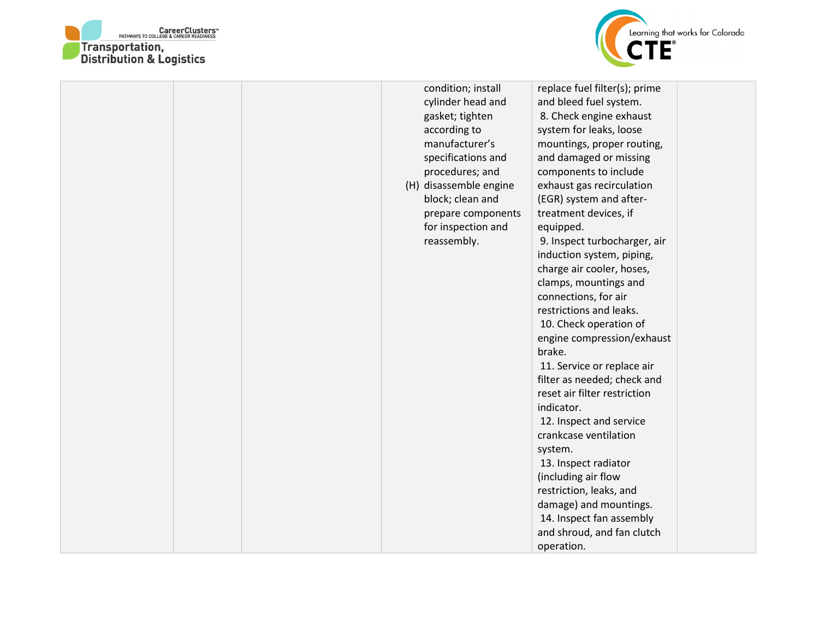



|  |  | condition; install<br>cylinder head and<br>gasket; tighten<br>according to<br>manufacturer's<br>specifications and<br>procedures; and<br>(H) disassemble engine<br>block; clean and<br>prepare components<br>for inspection and<br>reassembly. | replace fuel filter(s); prime<br>and bleed fuel system.<br>8. Check engine exhaust<br>system for leaks, loose<br>mountings, proper routing,<br>and damaged or missing<br>components to include<br>exhaust gas recirculation<br>(EGR) system and after-<br>treatment devices, if<br>equipped.<br>9. Inspect turbocharger, air<br>induction system, piping,<br>charge air cooler, hoses,<br>clamps, mountings and<br>connections, for air<br>restrictions and leaks.<br>10. Check operation of<br>engine compression/exhaust<br>brake.<br>11. Service or replace air<br>filter as needed; check and<br>reset air filter restriction<br>indicator.<br>12. Inspect and service<br>crankcase ventilation<br>system.<br>13. Inspect radiator<br>(including air flow<br>restriction, leaks, and<br>damage) and mountings.<br>14. Inspect fan assembly<br>and shroud, and fan clutch<br>operation. |  |
|--|--|------------------------------------------------------------------------------------------------------------------------------------------------------------------------------------------------------------------------------------------------|--------------------------------------------------------------------------------------------------------------------------------------------------------------------------------------------------------------------------------------------------------------------------------------------------------------------------------------------------------------------------------------------------------------------------------------------------------------------------------------------------------------------------------------------------------------------------------------------------------------------------------------------------------------------------------------------------------------------------------------------------------------------------------------------------------------------------------------------------------------------------------------------|--|
|--|--|------------------------------------------------------------------------------------------------------------------------------------------------------------------------------------------------------------------------------------------------|--------------------------------------------------------------------------------------------------------------------------------------------------------------------------------------------------------------------------------------------------------------------------------------------------------------------------------------------------------------------------------------------------------------------------------------------------------------------------------------------------------------------------------------------------------------------------------------------------------------------------------------------------------------------------------------------------------------------------------------------------------------------------------------------------------------------------------------------------------------------------------------------|--|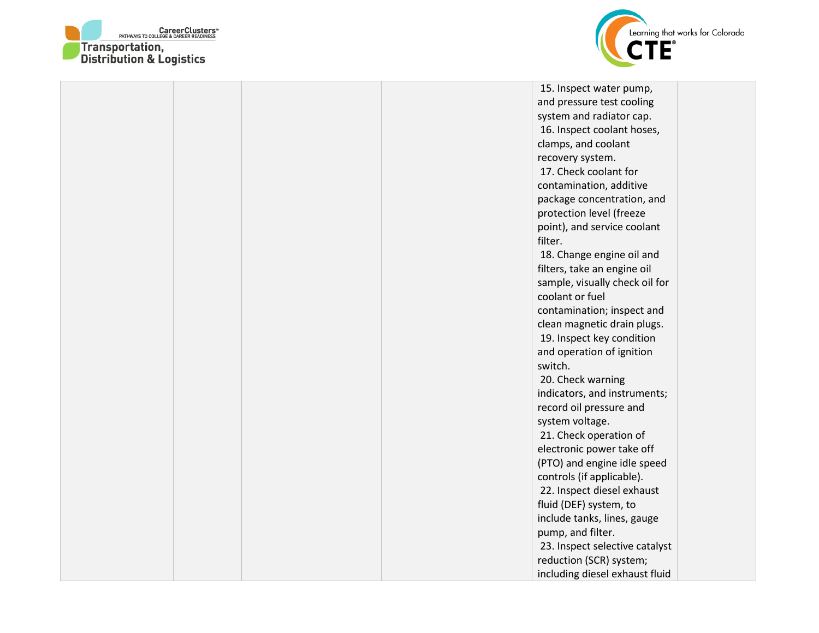



|  |  | 15. Inspect water pump,        |  |
|--|--|--------------------------------|--|
|  |  | and pressure test cooling      |  |
|  |  | system and radiator cap.       |  |
|  |  | 16. Inspect coolant hoses,     |  |
|  |  | clamps, and coolant            |  |
|  |  | recovery system.               |  |
|  |  | 17. Check coolant for          |  |
|  |  | contamination, additive        |  |
|  |  | package concentration, and     |  |
|  |  | protection level (freeze       |  |
|  |  | point), and service coolant    |  |
|  |  | filter.                        |  |
|  |  | 18. Change engine oil and      |  |
|  |  | filters, take an engine oil    |  |
|  |  | sample, visually check oil for |  |
|  |  | coolant or fuel                |  |
|  |  | contamination; inspect and     |  |
|  |  | clean magnetic drain plugs.    |  |
|  |  | 19. Inspect key condition      |  |
|  |  | and operation of ignition      |  |
|  |  | switch.                        |  |
|  |  | 20. Check warning              |  |
|  |  | indicators, and instruments;   |  |
|  |  | record oil pressure and        |  |
|  |  | system voltage.                |  |
|  |  | 21. Check operation of         |  |
|  |  | electronic power take off      |  |
|  |  | (PTO) and engine idle speed    |  |
|  |  | controls (if applicable).      |  |
|  |  | 22. Inspect diesel exhaust     |  |
|  |  | fluid (DEF) system, to         |  |
|  |  | include tanks, lines, gauge    |  |
|  |  | pump, and filter.              |  |
|  |  | 23. Inspect selective catalyst |  |
|  |  | reduction (SCR) system;        |  |
|  |  | including diesel exhaust fluid |  |